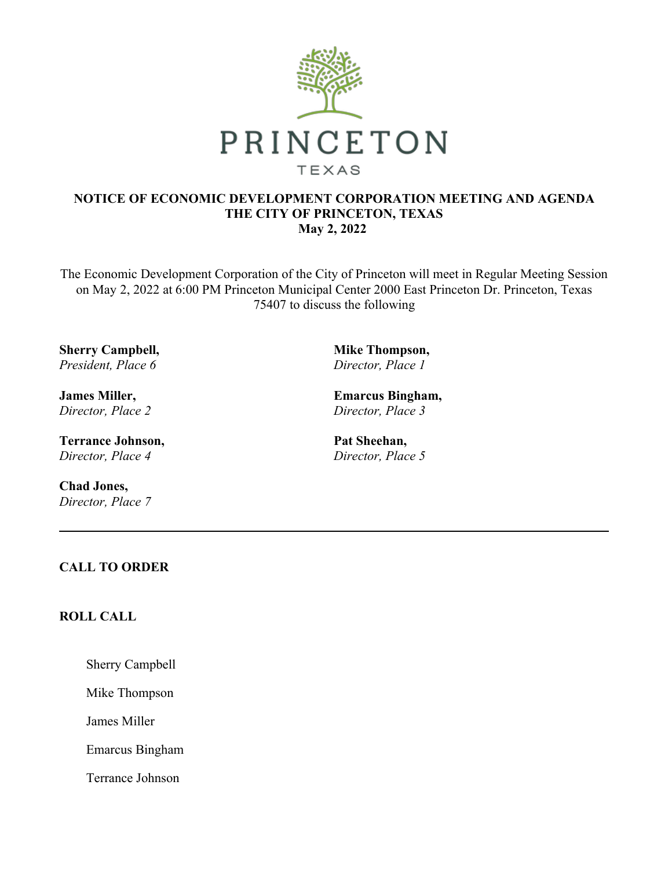

#### **NOTICE OF ECONOMIC DEVELOPMENT CORPORATION MEETING AND AGENDA THE CITY OF PRINCETON, TEXAS May 2, 2022**

The Economic Development Corporation of the City of Princeton will meet in Regular Meeting Session on May 2, 2022 at 6:00 PM Princeton Municipal Center 2000 East Princeton Dr. Princeton, Texas 75407 to discuss the following

**Sherry Campbell,** *President, Place 6*

**James Miller,** *Director, Place 2*

**Terrance Johnson,** *Director, Place 4*

**Chad Jones,** *Director, Place 7* **Mike Thompson,** *Director, Place 1*

**Emarcus Bingham,** *Director, Place 3*

**Pat Sheehan,** *Director, Place 5*

## **CALL TO ORDER**

# **ROLL CALL**

Sherry Campbell

Mike Thompson

James Miller

Emarcus Bingham

Terrance Johnson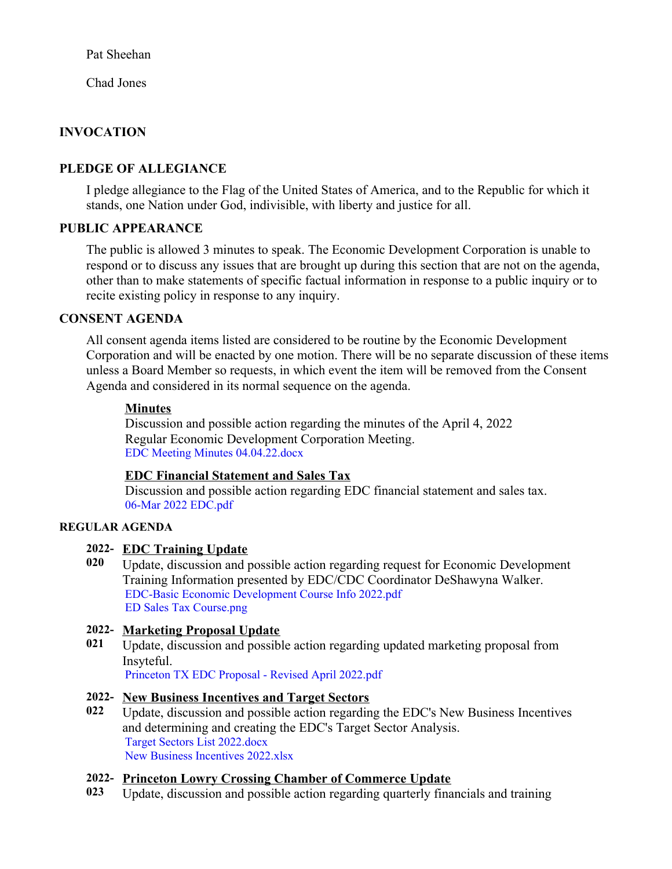Pat Sheehan

Chad Jones

# **INVOCATION**

# **PLEDGE OF ALLEGIANCE**

I pledge allegiance to the Flag of the United States of America, and to the Republic for which it stands, one Nation under God, indivisible, with liberty and justice for all.

## **PUBLIC APPEARANCE**

The public is allowed 3 minutes to speak. The Economic Development Corporation is unable to respond or to discuss any issues that are brought up during this section that are not on the agenda, other than to make statements of specific factual information in response to a public inquiry or to recite existing policy in response to any inquiry.

#### **CONSENT AGENDA**

All consent agenda items listed are considered to be routine by the Economic Development Corporation and will be enacted by one motion. There will be no separate discussion of these items unless a Board Member so requests, in which event the item will be removed from the Consent Agenda and considered in its normal sequence on the agenda.

#### **Minutes**

Discussion and possible action regarding the minutes of the April 4, 2022 Regular Economic Development Corporation Meeting. EDC Meeting Minutes [04.04.22.docx](https://legistarweb-production.s3.amazonaws.com/uploads/attachment/pdf/1350315/EDC_Meeting_Minutes_04.04.22.pdf)

## **EDC Financial Statement and Sales Tax**

Discussion and possible action regarding EDC financial statement and sales tax. 06-Mar 2022 [EDC.pdf](https://legistarweb-production.s3.amazonaws.com/uploads/attachment/pdf/1341239/06-Mar_2022_EDC.pdf)

#### **REGULAR AGENDA**

## **2022- EDC Training Update**

**020** Update, discussion and possible action regarding request for Economic Development Training Information presented by EDC/CDC Coordinator DeShawyna Walker. EDC-Basic Economic [Development](https://legistarweb-production.s3.amazonaws.com/uploads/attachment/pdf/1329385/EDC-Basic_Economic_Development_Course_Info_2022.pdf) Course Info 2022.pdf ED Sales Tax [Course.png](https://legistarweb-production.s3.amazonaws.com/uploads/attachment/pdf/1350247/ED_Sales_Tax_Course.pdf)

## **2022- Marketing Proposal Update**

**021** Update, discussion and possible action regarding updated marketing proposal from Insyteful.

[Princeton](https://legistarweb-production.s3.amazonaws.com/uploads/attachment/pdf/1353520/Princeton_TX_EDC_Proposal_-_Revised_April_2022.pdf) TX EDC Proposal - Revised April 2022.pdf

## **2022- New Business Incentives and Target Sectors**

**022** Update, discussion and possible action regarding the EDC's New Business Incentives and determining and creating the EDC's Target Sector Analysis. Target Sectors List [2022.docx](https://legistarweb-production.s3.amazonaws.com/uploads/attachment/pdf/1353904/Target_Sectors_List_2022.pdf) New Business [Incentives](https://legistarweb-production.s3.amazonaws.com/uploads/attachment/pdf/1354796/New_Business_Incentives_2022.pdf) 2022.xlsx

## **2022- Princeton Lowry Crossing Chamber of Commerce Update**

**023** Update, discussion and possible action regarding quarterly financials and training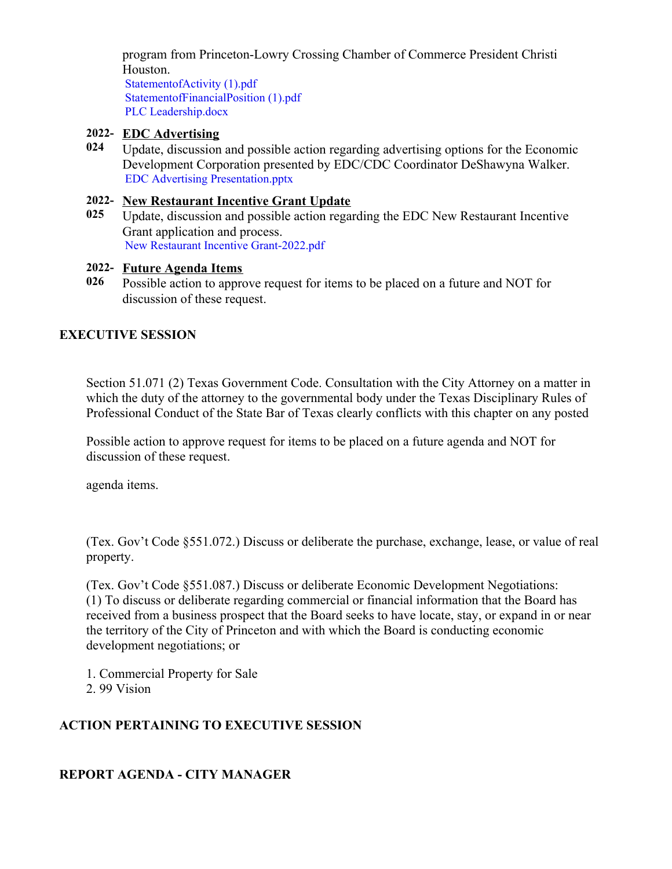program from Princeton-Lowry Crossing Chamber of Commerce President Christi Houston.

[StatementofActivity](https://legistarweb-production.s3.amazonaws.com/uploads/attachment/pdf/1325343/StatementofActivity__1_.pdf) (1).pdf [StatementofFinancialPosition](https://legistarweb-production.s3.amazonaws.com/uploads/attachment/pdf/1325344/StatementofFinancialPosition__1_.pdf) (1).pdf PLC [Leadership.docx](https://legistarweb-production.s3.amazonaws.com/uploads/attachment/pdf/1350295/PLC_Leadership.pdf)

#### **2022- EDC Advertising**

**024** Update, discussion and possible action regarding advertising options for the Economic Development Corporation presented by EDC/CDC Coordinator DeShawyna Walker. EDC Advertising [Presentation.pptx](https://legistarweb-production.s3.amazonaws.com/uploads/attachment/pdf/1350226/EDC_Advertising_Presentation.pdf)

#### **2022- New Restaurant Incentive Grant Update**

**025** Update, discussion and possible action regarding the EDC New Restaurant Incentive Grant application and process. New Restaurant Incentive [Grant-2022.pdf](https://legistarweb-production.s3.amazonaws.com/uploads/attachment/pdf/1341698/New_Restaurant_Incentive_Grant-2022.pdf)

#### **2022- Future Agenda Items**

**026** Possible action to approve request for items to be placed on a future and NOT for discussion of these request.

# **EXECUTIVE SESSION**

Section 51.071 (2) Texas Government Code. Consultation with the City Attorney on a matter in which the duty of the attorney to the governmental body under the Texas Disciplinary Rules of Professional Conduct of the State Bar of Texas clearly conflicts with this chapter on any posted

Possible action to approve request for items to be placed on a future agenda and NOT for discussion of these request.

agenda items.

(Tex. Gov't Code §551.072.) Discuss or deliberate the purchase, exchange, lease, or value of real property.

(Tex. Gov't Code §551.087.) Discuss or deliberate Economic Development Negotiations: (1) To discuss or deliberate regarding commercial or financial information that the Board has received from a business prospect that the Board seeks to have locate, stay, or expand in or near the territory of the City of Princeton and with which the Board is conducting economic development negotiations; or

- 1. Commercial Property for Sale
- 2. 99 Vision

# **ACTION PERTAINING TO EXECUTIVE SESSION**

# **REPORT AGENDA - CITY MANAGER**